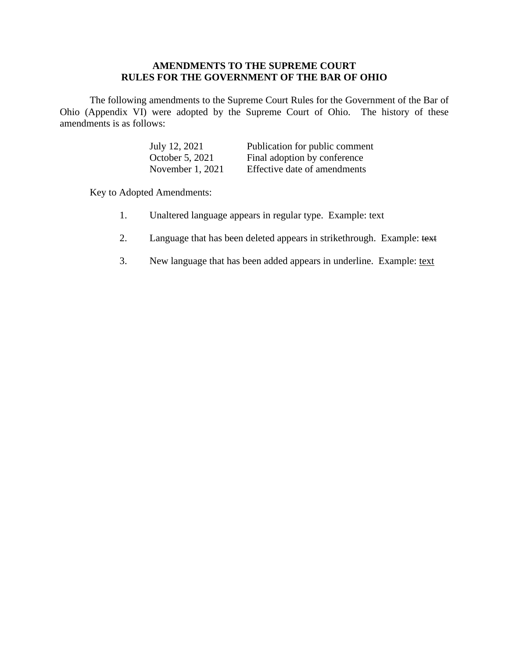# **AMENDMENTS TO THE SUPREME COURT RULES FOR THE GOVERNMENT OF THE BAR OF OHIO**

The following amendments to the Supreme Court Rules for the Government of the Bar of Ohio (Appendix VI) were adopted by the Supreme Court of Ohio. The history of these amendments is as follows:

| July 12, 2021      | Publication for public comment |
|--------------------|--------------------------------|
| October 5, 2021    | Final adoption by conference   |
| November $1, 2021$ | Effective date of amendments   |

Key to Adopted Amendments:

- 1. Unaltered language appears in regular type. Example: text
- 2. Language that has been deleted appears in strikethrough. Example: text
- 3. New language that has been added appears in underline. Example: text